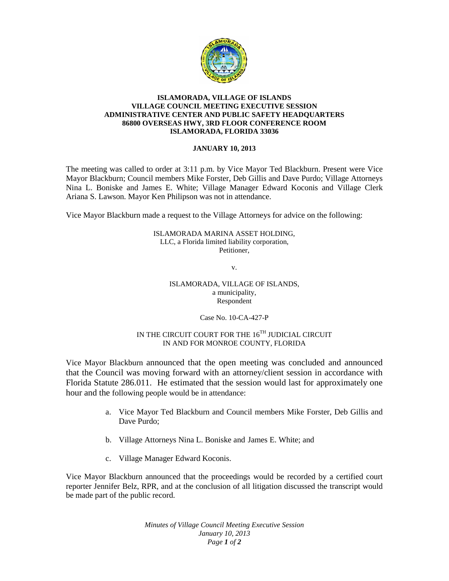

## **ISLAMORADA, VILLAGE OF ISLANDS VILLAGE COUNCIL MEETING EXECUTIVE SESSION ADMINISTRATIVE CENTER AND PUBLIC SAFETY HEADQUARTERS 86800 OVERSEAS HWY, 3RD FLOOR CONFERENCE ROOM ISLAMORADA, FLORIDA 33036**

## **JANUARY 10, 2013**

The meeting was called to order at 3:11 p.m. by Vice Mayor Ted Blackburn. Present were Vice Mayor Blackburn; Council members Mike Forster, Deb Gillis and Dave Purdo; Village Attorneys Nina L. Boniske and James E. White; Village Manager Edward Koconis and Village Clerk Ariana S. Lawson. Mayor Ken Philipson was not in attendance.

Vice Mayor Blackburn made a request to the Village Attorneys for advice on the following:

ISLAMORADA MARINA ASSET HOLDING, LLC, a Florida limited liability corporation, Petitioner,

v.

ISLAMORADA, VILLAGE OF ISLANDS, a municipality, Respondent

Case No. 10-CA-427-P

## IN THE CIRCUIT COURT FOR THE  $16^{TH}$  JUDICIAL CIRCUIT IN AND FOR MONROE COUNTY, FLORIDA

Vice Mayor Blackburn announced that the open meeting was concluded and announced that the Council was moving forward with an attorney/client session in accordance with Florida Statute 286.011. He estimated that the session would last for approximately one hour and the following people would be in attendance:

- a. Vice Mayor Ted Blackburn and Council members Mike Forster, Deb Gillis and Dave Purdo;
- b. Village Attorneys Nina L. Boniske and James E. White; and
- c. Village Manager Edward Koconis.

Vice Mayor Blackburn announced that the proceedings would be recorded by a certified court reporter Jennifer Belz, RPR, and at the conclusion of all litigation discussed the transcript would be made part of the public record.

> *Minutes of Village Council Meeting Executive Session January 10, 2013 Page 1 of 2*